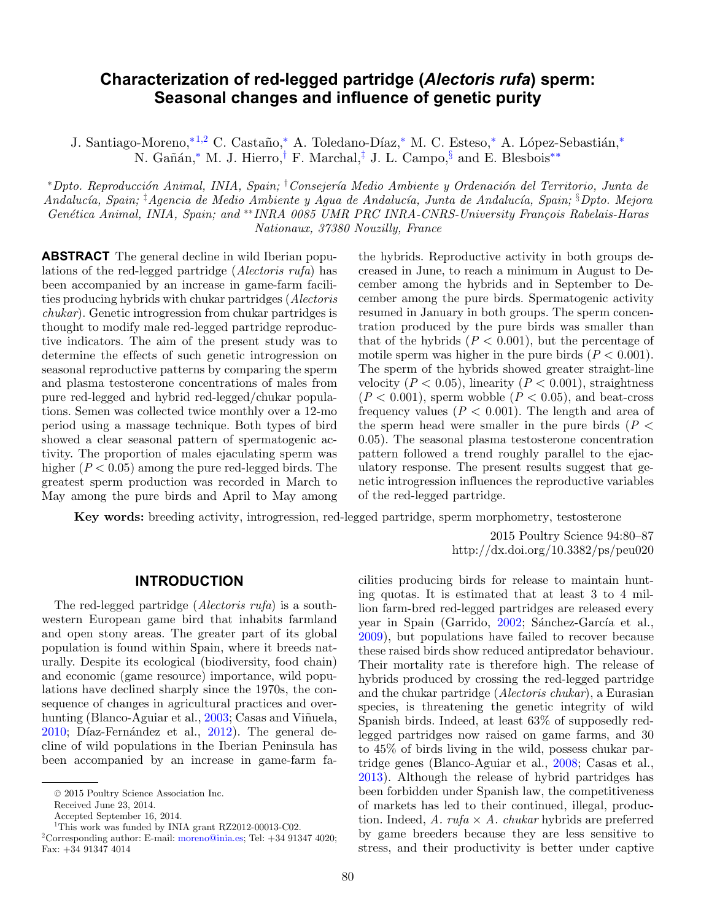# **Characterization of red-legged partridge (***Alectoris rufa***) sperm: Seasonal changes and influence of genetic purity**

<span id="page-0-3"></span>J. Santiago-Moreno,<sup>[∗](#page-0-0)[1,2](#page-0-1)</sup> C. Castaño,<sup>∗</sup> A. Toledano-Díaz,<sup>∗</sup> M. C. Esteso,<sup>∗</sup> A. López-Sebastián,<sup>∗</sup> N. Gañán,<sup>[∗](#page-0-0)</sup> M. J. Hierro,<sup>[†](#page-0-2)</sup> F. Marchal,<sup>[‡](#page-0-3)</sup> J. L. Campo,<sup>[§](#page-0-4)</sup> and E. Blesbois<sup>[∗∗](#page-0-5)</sup>

<span id="page-0-0"></span>\*Dpto. Reproducción Animal, INIA, Spain; †Consejería Medio Ambiente y Ordenación del Territorio, Junta de Andalucía, Spain; <sup>†</sup>Agencia de Medio Ambiente y Agua de Andalucía, Junta de Andalucía, Spain; <sup>§</sup>Dpto. Mejora Genética Animal, INIA, Spain; and <sup>∗</sup>\* INRA 0085 UMR PRC INRA-CNRS-University François Rabelais-Haras Nationaux, 37380 Nouzilly, France

**ABSTRACT** The general decline in wild Iberian populations of the red-legged partridge (Alectoris rufa) has been accompanied by an increase in game-farm facilities producing hybrids with chukar partridges (Alectoris chukar). Genetic introgression from chukar partridges is thought to modify male red-legged partridge reproductive indicators. The aim of the present study was to determine the effects of such genetic introgression on seasonal reproductive patterns by comparing the sperm and plasma testosterone concentrations of males from pure red-legged and hybrid red-legged/chukar populations. Semen was collected twice monthly over a 12-mo period using a massage technique. Both types of bird showed a clear seasonal pattern of spermatogenic activity. The proportion of males ejaculating sperm was higher  $(P < 0.05)$  among the pure red-legged birds. The greatest sperm production was recorded in March to May among the pure birds and April to May among <span id="page-0-5"></span><span id="page-0-4"></span><span id="page-0-2"></span>the hybrids. Reproductive activity in both groups decreased in June, to reach a minimum in August to December among the hybrids and in September to December among the pure birds. Spermatogenic activity resumed in January in both groups. The sperm concentration produced by the pure birds was smaller than that of the hybrids  $(P < 0.001)$ , but the percentage of motile sperm was higher in the pure birds  $(P < 0.001)$ . The sperm of the hybrids showed greater straight-line velocity  $(P < 0.05)$ , linearity  $(P < 0.001)$ , straightness  $(P < 0.001)$ , sperm wobble  $(P < 0.05)$ , and beat-cross frequency values ( $P < 0.001$ ). The length and area of the sperm head were smaller in the pure birds  $(P \leq$ 0.05). The seasonal plasma testosterone concentration pattern followed a trend roughly parallel to the ejaculatory response. The present results suggest that genetic introgression influences the reproductive variables of the red-legged partridge.

**Key words:** breeding activity, introgression, red-legged partridge, sperm morphometry, testosterone

2015 Poultry Science 94:80–87 http://dx.doi.org/10.3382/ps/peu020

## **INTRODUCTION**

The red-legged partridge (Alectoris rufa) is a southwestern European game bird that inhabits farmland and open stony areas. The greater part of its global population is found within Spain, where it breeds naturally. Despite its ecological (biodiversity, food chain) and economic (game resource) importance, wild populations have declined sharply since the 1970s, the consequence of changes in agricultural practices and over-hunting (Blanco-Aguiar et al., [2003;](#page-6-0) Casas and Viñuela,  $2010$ ; Díaz-Fernández et al.,  $2012$ ). The general decline of wild populations in the Iberian Peninsula has been accompanied by an increase in game-farm facilities producing birds for release to maintain hunting quotas. It is estimated that at least 3 to 4 million farm-bred red-legged partridges are released every year in Spain (Garrido, [2002;](#page-7-1) Sánchez-García et al., [2009\)](#page-7-2), but populations have failed to recover because these raised birds show reduced antipredator behaviour. Their mortality rate is therefore high. The release of hybrids produced by crossing the red-legged partridge and the chukar partridge (Alectoris chukar), a Eurasian species, is threatening the genetic integrity of wild Spanish birds. Indeed, at least 63% of supposedly redlegged partridges now raised on game farms, and 30 to 45% of birds living in the wild, possess chukar partridge genes (Blanco-Aguiar et al., [2008;](#page-6-2) Casas et al., [2013\)](#page-6-3). Although the release of hybrid partridges has been forbidden under Spanish law, the competitiveness of markets has led to their continued, illegal, production. Indeed, A. rufa  $\times$  A. chukar hybrids are preferred by game breeders because they are less sensitive to stress, and their productivity is better under captive

<sup>© 2015</sup> Poultry Science Association Inc.

Received June 23, 2014.

Accepted September 16, 2014.

<sup>&</sup>lt;sup>1</sup>This work was funded by INIA grant RZ2012-00013-C02.

<span id="page-0-1"></span><sup>2</sup>Corresponding author: E-mail: [moreno@inia.es;](mailto:moreno@inia.es) Tel: +34 91347 4020; Fax: +34 91347 4014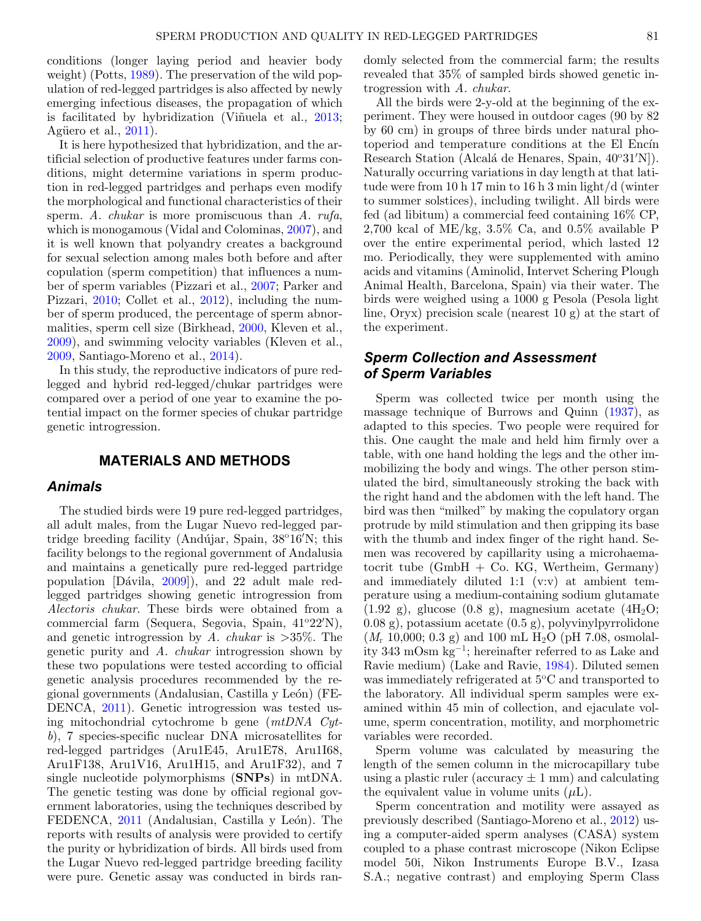conditions (longer laying period and heavier body weight) (Potts, [1989\)](#page-7-3). The preservation of the wild population of red-legged partridges is also affected by newly emerging infectious diseases, the propagation of which is facilitated by hybridization (Viñuela et al.,  $2013$ ; Agüero et al.,  $2011$ ).

It is here hypothesized that hybridization, and the artificial selection of productive features under farms conditions, might determine variations in sperm production in red-legged partridges and perhaps even modify the morphological and functional characteristics of their sperm. A. *chukar* is more promiscuous than A. *rufa*, which is monogamous (Vidal and Colominas, [2007\)](#page-7-5), and it is well known that polyandry creates a background for sexual selection among males both before and after copulation (sperm competition) that influences a number of sperm variables (Pizzari et al., [2007;](#page-7-6) Parker and Pizzari, [2010;](#page-7-7) Collet et al., [2012\)](#page-7-8), including the number of sperm produced, the percentage of sperm abnormalities, sperm cell size (Birkhead, [2000,](#page-6-5) Kleven et al., [2009\)](#page-7-9), and swimming velocity variables (Kleven et al., [2009,](#page-7-9) Santiago-Moreno et al., [2014\)](#page-7-10).

In this study, the reproductive indicators of pure redlegged and hybrid red-legged/chukar partridges were compared over a period of one year to examine the potential impact on the former species of chukar partridge genetic introgression.

# **MATERIALS AND METHODS**

# *Animals*

The studied birds were 19 pure red-legged partridges, all adult males, from the Lugar Nuevo red-legged partridge breeding facility (Andújar, Spain, 38°16'N; this facility belongs to the regional government of Andalusia and maintains a genetically pure red-legged partridge population [Dávila, [2009\]](#page-7-11)), and 22 adult male redlegged partridges showing genetic introgression from Alectoris chukar. These birds were obtained from a commercial farm (Sequera, Segovia, Spain, 41°22'N), and genetic introgression by A. chukar is  $>35\%$ . The genetic purity and A. chukar introgression shown by these two populations were tested according to official genetic analysis procedures recommended by the regional governments (Andalusian, Castilla y León) (FE-DENCA, [2011\)](#page-7-12). Genetic introgression was tested using mitochondrial cytochrome b gene (mtDNA Cytb), 7 species-specific nuclear DNA microsatellites for red-legged partridges (Aru1E45, Aru1E78, Aru1I68, Aru1F138, Aru1V16, Aru1H15, and Aru1F32), and 7 single nucleotide polymorphisms (**SNPs**) in mtDNA. The genetic testing was done by official regional government laboratories, using the techniques described by FEDENCA, [2011](#page-7-12) (Andalusian, Castilla y León). The reports with results of analysis were provided to certify the purity or hybridization of birds. All birds used from the Lugar Nuevo red-legged partridge breeding facility were pure. Genetic assay was conducted in birds randomly selected from the commercial farm; the results revealed that 35% of sampled birds showed genetic introgression with A. chukar.

All the birds were 2-y-old at the beginning of the experiment. They were housed in outdoor cages (90 by 82 by 60 cm) in groups of three birds under natural photoperiod and temperature conditions at the El Encín Research Station (Alcalá de Henares, Spain, 40°31'N]). Naturally occurring variations in day length at that latitude were from 10 h 17 min to 16 h 3 min light/d (winter to summer solstices), including twilight. All birds were fed (ad libitum) a commercial feed containing 16% CP, 2,700 kcal of ME/kg,  $3.5\%$  Ca, and  $0.5\%$  available P over the entire experimental period, which lasted 12 mo. Periodically, they were supplemented with amino acids and vitamins (Aminolid, Intervet Schering Plough Animal Health, Barcelona, Spain) via their water. The birds were weighed using a 1000 g Pesola (Pesola light line, Oryx) precision scale (nearest 10 g) at the start of the experiment.

# *Sperm Collection and Assessment of Sperm Variables*

Sperm was collected twice per month using the massage technique of Burrows and Quinn [\(1937\)](#page-6-6), as adapted to this species. Two people were required for this. One caught the male and held him firmly over a table, with one hand holding the legs and the other immobilizing the body and wings. The other person stimulated the bird, simultaneously stroking the back with the right hand and the abdomen with the left hand. The bird was then "milked" by making the copulatory organ protrude by mild stimulation and then gripping its base with the thumb and index finger of the right hand. Semen was recovered by capillarity using a microhaematocrit tube (GmbH + Co. KG, Wertheim, Germany) and immediately diluted 1:1 (v:v) at ambient temperature using a medium-containing sodium glutamate  $(1.92 \text{ g})$ , glucose  $(0.8 \text{ g})$ , magnesium acetate  $(4H<sub>2</sub>O;$ 0.08 g), potassium acetate (0.5 g), polyvinylpyrrolidone  $(M_r 10,000; 0.3 \text{ g})$  and 100 mL H<sub>2</sub>O (pH 7.08, osmolality 343 mOsm kg−1; hereinafter referred to as Lake and Ravie medium) (Lake and Ravie, [1984\)](#page-7-13). Diluted semen was immediately refrigerated at  $5^{\circ}$ C and transported to the laboratory. All individual sperm samples were examined within 45 min of collection, and ejaculate volume, sperm concentration, motility, and morphometric variables were recorded.

Sperm volume was calculated by measuring the length of the semen column in the microcapillary tube using a plastic ruler (accuracy  $\pm$  1 mm) and calculating the equivalent value in volume units  $(\mu L)$ .

Sperm concentration and motility were assayed as previously described (Santiago-Moreno et al., [2012\)](#page-7-14) using a computer-aided sperm analyses (CASA) system coupled to a phase contrast microscope (Nikon Eclipse model 50i, Nikon Instruments Europe B.V., Izasa S.A.; negative contrast) and employing Sperm Class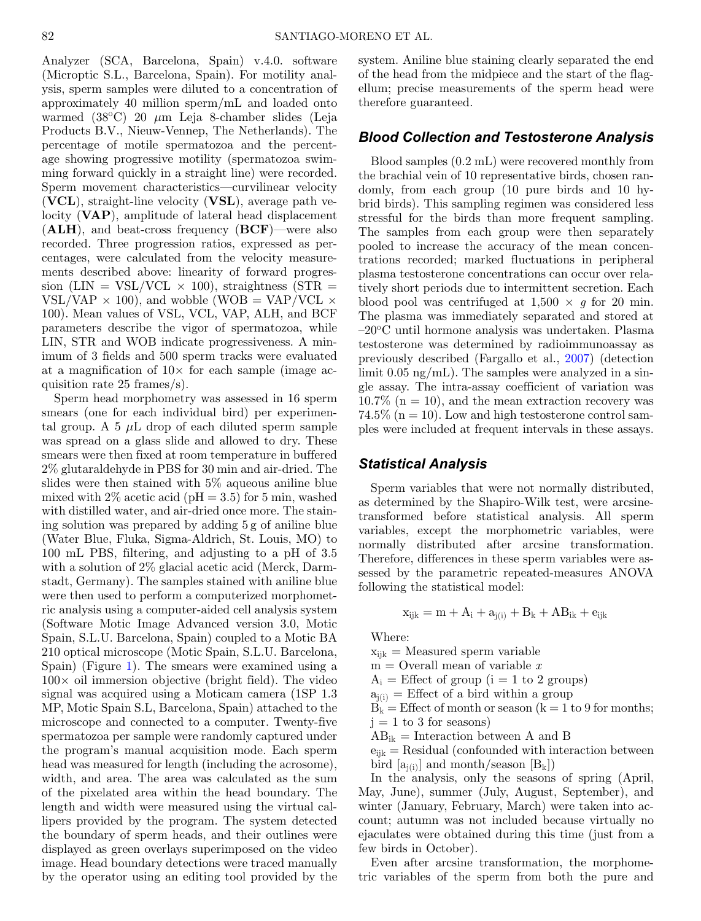Analyzer (SCA, Barcelona, Spain) v.4.0. software (Microptic S.L., Barcelona, Spain). For motility analysis, sperm samples were diluted to a concentration of approximately 40 million sperm/mL and loaded onto warmed (38 $^{\circ}$ C) 20  $\mu$ m Leja 8-chamber slides (Leja Products B.V., Nieuw-Vennep, The Netherlands). The percentage of motile spermatozoa and the percentage showing progressive motility (spermatozoa swimming forward quickly in a straight line) were recorded. Sperm movement characteristics—curvilinear velocity (**VCL**), straight-line velocity (**VSL**), average path velocity (**VAP**), amplitude of lateral head displacement (**ALH**), and beat-cross frequency (**BCF**)—were also recorded. Three progression ratios, expressed as percentages, were calculated from the velocity measurements described above: linearity of forward progression (LIN = VSL/VCL  $\times$  100), straightness (STR = VSL/VAP  $\times$  100), and wobble (WOB = VAP/VCL  $\times$ 100). Mean values of VSL, VCL, VAP, ALH, and BCF parameters describe the vigor of spermatozoa, while LIN, STR and WOB indicate progressiveness. A minimum of 3 fields and 500 sperm tracks were evaluated at a magnification of  $10\times$  for each sample (image acquisition rate 25 frames/s).

Sperm head morphometry was assessed in 16 sperm smears (one for each individual bird) per experimental group. A 5  $\mu$ L drop of each diluted sperm sample was spread on a glass slide and allowed to dry. These smears were then fixed at room temperature in buffered 2% glutaraldehyde in PBS for 30 min and air-dried. The slides were then stained with 5% aqueous aniline blue mixed with  $2\%$  acetic acid (pH = 3.5) for 5 min, washed with distilled water, and air-dried once more. The staining solution was prepared by adding 5 g of aniline blue (Water Blue, Fluka, Sigma-Aldrich, St. Louis, MO) to 100 mL PBS, filtering, and adjusting to a pH of 3.5 with a solution of 2% glacial acetic acid (Merck, Darmstadt, Germany). The samples stained with aniline blue were then used to perform a computerized morphometric analysis using a computer-aided cell analysis system (Software Motic Image Advanced version 3.0, Motic Spain, S.L.U. Barcelona, Spain) coupled to a Motic BA 210 optical microscope (Motic Spain, S.L.U. Barcelona, Spain) (Figure [1\)](#page-3-0). The smears were examined using a  $100\times$  oil immersion objective (bright field). The video signal was acquired using a Moticam camera (1SP 1.3 MP, Motic Spain S.L, Barcelona, Spain) attached to the microscope and connected to a computer. Twenty-five spermatozoa per sample were randomly captured under the program's manual acquisition mode. Each sperm head was measured for length (including the acrosome), width, and area. The area was calculated as the sum of the pixelated area within the head boundary. The length and width were measured using the virtual callipers provided by the program. The system detected the boundary of sperm heads, and their outlines were displayed as green overlays superimposed on the video image. Head boundary detections were traced manually by the operator using an editing tool provided by the system. Aniline blue staining clearly separated the end of the head from the midpiece and the start of the flagellum; precise measurements of the sperm head were therefore guaranteed.

### *Blood Collection and Testosterone Analysis*

Blood samples (0.2 mL) were recovered monthly from the brachial vein of 10 representative birds, chosen randomly, from each group (10 pure birds and 10 hybrid birds). This sampling regimen was considered less stressful for the birds than more frequent sampling. The samples from each group were then separately pooled to increase the accuracy of the mean concentrations recorded; marked fluctuations in peripheral plasma testosterone concentrations can occur over relatively short periods due to intermittent secretion. Each blood pool was centrifuged at  $1,500 \times g$  for 20 min. The plasma was immediately separated and stored at  $-20^{\circ}$ C until hormone analysis was undertaken. Plasma testosterone was determined by radioimmunoassay as previously described (Fargallo et al., [2007\)](#page-7-15) (detection limit 0.05 ng/mL). The samples were analyzed in a single assay. The intra-assay coefficient of variation was  $10.7\%$  (n = 10), and the mean extraction recovery was 74.5% ( $n = 10$ ). Low and high testosterone control samples were included at frequent intervals in these assays.

## *Statistical Analysis*

Sperm variables that were not normally distributed, as determined by the Shapiro-Wilk test, were arcsinetransformed before statistical analysis. All sperm variables, except the morphometric variables, were normally distributed after arcsine transformation. Therefore, differences in these sperm variables were assessed by the parametric repeated-measures ANOVA following the statistical model:

$$
x_{ijk}=m+A_i+a_{j(i)}+B_k+AB_{ik}+e_{ijk}
$$

Where:

 $x_{ijk}$  = Measured sperm variable

 $m =$ Overall mean of variable x

 $A_i$  = Effect of group (i = 1 to 2 groups)

 $a_{i(i)}$  = Effect of a bird within a group

 $B_k =$  Effect of month or season (k = 1 to 9 for months;  $j = 1$  to 3 for seasons)

 $AB_{ik}$  = Interaction between A and B

 $e_{ijk}$  = Residual (confounded with interaction between bird  $[a_{i(i)}]$  and month/season  $[B_k]$ )

In the analysis, only the seasons of spring (April, May, June), summer (July, August, September), and winter (January, February, March) were taken into account; autumn was not included because virtually no ejaculates were obtained during this time (just from a few birds in October).

Even after arcsine transformation, the morphometric variables of the sperm from both the pure and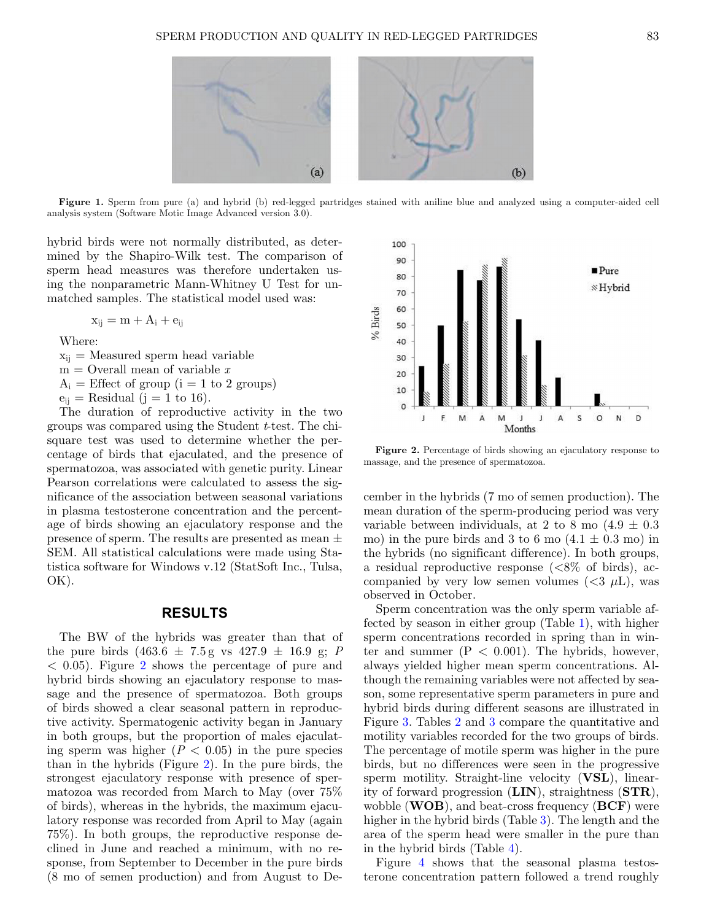<span id="page-3-0"></span>

**Figure 1.** Sperm from pure (a) and hybrid (b) red-legged partridges stained with aniline blue and analyzed using a computer-aided cell analysis system (Software Motic Image Advanced version 3.0).

hybrid birds were not normally distributed, as determined by the Shapiro-Wilk test. The comparison of sperm head measures was therefore undertaken using the nonparametric Mann-Whitney U Test for unmatched samples. The statistical model used was:

$$
x_{ij} = m + A_i + e_{ij}
$$

Where:

 $x_{ii}$  = Measured sperm head variable

 $m =$ Overall mean of variable x

 $A_i$  = Effect of group (i = 1 to 2 groups)

 $e_{ii}$  = Residual (j = 1 to 16).

The duration of reproductive activity in the two groups was compared using the Student t-test. The chisquare test was used to determine whether the percentage of birds that ejaculated, and the presence of spermatozoa, was associated with genetic purity. Linear Pearson correlations were calculated to assess the significance of the association between seasonal variations in plasma testosterone concentration and the percentage of birds showing an ejaculatory response and the presence of sperm. The results are presented as mean  $\pm$ SEM. All statistical calculations were made using Statistica software for Windows v.12 (StatSoft Inc., Tulsa, OK).

#### **RESULTS**

The BW of the hybrids was greater than that of the pure birds  $(463.6 \pm 7.5 \text{ g} \text{ vs } 427.9 \pm 16.9 \text{ g}; P)$  $< 0.05$ ). Figure [2](#page-3-1) shows the percentage of pure and hybrid birds showing an ejaculatory response to massage and the presence of spermatozoa. Both groups of birds showed a clear seasonal pattern in reproductive activity. Spermatogenic activity began in January in both groups, but the proportion of males ejaculating sperm was higher  $(P < 0.05)$  in the pure species than in the hybrids (Figure [2\)](#page-3-1). In the pure birds, the strongest ejaculatory response with presence of spermatozoa was recorded from March to May (over 75% of birds), whereas in the hybrids, the maximum ejaculatory response was recorded from April to May (again 75%). In both groups, the reproductive response declined in June and reached a minimum, with no response, from September to December in the pure birds (8 mo of semen production) and from August to De-

<span id="page-3-1"></span>

**Figure 2.** Percentage of birds showing an ejaculatory response to massage, and the presence of spermatozoa.

cember in the hybrids (7 mo of semen production). The mean duration of the sperm-producing period was very variable between individuals, at 2 to 8 mo  $(4.9 \pm 0.3)$ mo) in the pure birds and 3 to 6 mo  $(4.1 \pm 0.3 \text{ mo})$  in the hybrids (no significant difference). In both groups, a residual reproductive response  $\approx 8\%$  of birds), accompanied by very low semen volumes  $( $3 \mu L$ ), was$ observed in October.

Sperm concentration was the only sperm variable affected by season in either group (Table [1\)](#page-4-0), with higher sperm concentrations recorded in spring than in winter and summer  $(P < 0.001)$ . The hybrids, however, always yielded higher mean sperm concentrations. Although the remaining variables were not affected by season, some representative sperm parameters in pure and hybrid birds during different seasons are illustrated in Figure [3.](#page-4-1) Tables [2](#page-4-2) and [3](#page-4-3) compare the quantitative and motility variables recorded for the two groups of birds. The percentage of motile sperm was higher in the pure birds, but no differences were seen in the progressive sperm motility. Straight-line velocity (**VSL**), linearity of forward progression (**LIN**), straightness (**STR**), wobble (**WOB**), and beat-cross frequency (**BCF**) were higher in the hybrid birds (Table [3\)](#page-4-3). The length and the area of the sperm head were smaller in the pure than in the hybrid birds (Table [4\)](#page-5-0).

Figure [4](#page-5-1) shows that the seasonal plasma testosterone concentration pattern followed a trend roughly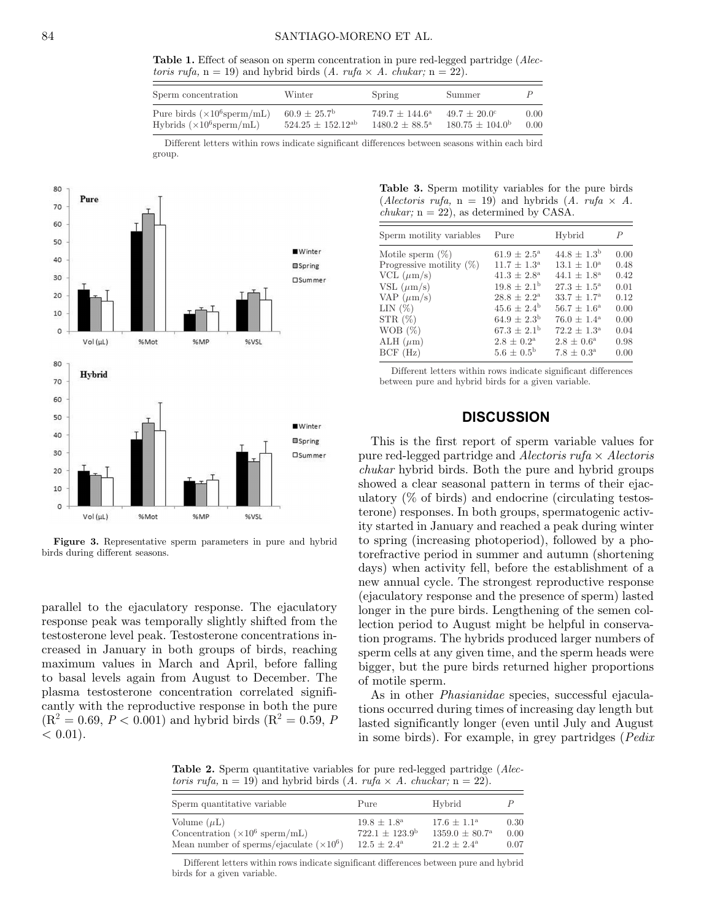**Table 1.** Effect of season on sperm concentration in pure red-legged partridge (Alectoris rufa,  $n = 19$ ) and hybrid birds (A. rufa  $\times$  A. chukar;  $n = 22$ ).

<span id="page-4-0"></span>

| Sperm concentration                        | Winter                     | Spring                       | Summer                   |      |
|--------------------------------------------|----------------------------|------------------------------|--------------------------|------|
| Pure birds $(\times 10^6 \text{sperm/mL})$ | $60.9 + 25.7$ <sup>b</sup> | $749.7 + 144.6^{\rm a}$      | $49.7 + 20.0^{\circ}$    | 0.00 |
| Hybrids $(\times 10^6$ sperm/mL)           | $524.25 \pm 152.12^{ab}$   | $1480.2 + 88.5^{\mathrm{a}}$ | $180.75 + 104.0^{\rm b}$ | 0.00 |

Different letters within rows indicate significant differences between seasons within each bird group.

<span id="page-4-1"></span>

**Figure 3.** Representative sperm parameters in pure and hybrid birds during different seasons.

parallel to the ejaculatory response. The ejaculatory response peak was temporally slightly shifted from the testosterone level peak. Testosterone concentrations increased in January in both groups of birds, reaching maximum values in March and April, before falling to basal levels again from August to December. The plasma testosterone concentration correlated significantly with the reproductive response in both the pure  $(R^2 = 0.69, P < 0.001)$  and hybrid birds  $(R^2 = 0.59, P$  $< 0.01$ ).

<span id="page-4-3"></span>**Table 3.** Sperm motility variables for the pure birds (*Alectoris rufa*,  $n = 19$ ) and hybrids (*A. rufa*  $\times$  *A. chukar*:  $n = 22$ , as determined by CASA.

| Sperm motility variables    | Pure                   | Hybrid                 | $\boldsymbol{P}$ |
|-----------------------------|------------------------|------------------------|------------------|
| Motile sperm $(\%)$         | $61.9 \pm 2.5^{\rm a}$ | $44.8 \pm 1.3^{\rm b}$ | 0.00             |
| Progressive motility $(\%)$ | $11.7 \pm 1.3^{\rm a}$ | $13.1 \pm 1.0^{\rm a}$ | 0.48             |
| VCL $(\mu m/s)$             | $41.3 \pm 2.8^{\rm a}$ | $44.1 \pm 1.8^{\rm a}$ | 0.42             |
| VSL $(\mu m/s)$             | $19.8 \pm 2.1^{\rm b}$ | $27.3 \pm 1.5^{\rm a}$ | 0.01             |
| VAP $(\mu m/s)$             | $28.8 \pm 2.2^{\rm a}$ | $33.7 \pm 1.7^{\rm a}$ | 0.12             |
| LIN $(\%)$                  | $45.6 \pm 2.4^{\rm b}$ | $56.7 \pm 1.6^{\rm a}$ | 0.00             |
| $STR(\%)$                   | $64.9 \pm 2.3^{\rm b}$ | $76.0 \pm 1.4^{\rm a}$ | 0.00             |
| WOB $(\%)$                  | $67.3 + 2.1b$          | $72.2 + 1.3^{\circ}$   | 0.04             |
| ALH $(\mu m)$               | $2.8 \pm 0.2^{\rm a}$  | $2.8 \pm 0.6^{\rm a}$  | 0.98             |
| BCF(Hz)                     | $5.6 \pm 0.5^{\rm b}$  | $7.8 \pm 0.3^{\rm a}$  | 0.00             |

Different letters within rows indicate significant differences between pure and hybrid birds for a given variable.

#### **DISCUSSION**

This is the first report of sperm variable values for pure red-legged partridge and Alectoris rufa  $\times$  Alectoris chukar hybrid birds. Both the pure and hybrid groups showed a clear seasonal pattern in terms of their ejaculatory (% of birds) and endocrine (circulating testosterone) responses. In both groups, spermatogenic activity started in January and reached a peak during winter to spring (increasing photoperiod), followed by a photorefractive period in summer and autumn (shortening days) when activity fell, before the establishment of a new annual cycle. The strongest reproductive response (ejaculatory response and the presence of sperm) lasted longer in the pure birds. Lengthening of the semen collection period to August might be helpful in conservation programs. The hybrids produced larger numbers of sperm cells at any given time, and the sperm heads were bigger, but the pure birds returned higher proportions of motile sperm[.](#page-5-0)

As in other *Phasianidae* species, successful ejaculations occurred during times of increasing day length but lasted significantly longer (even until July and August in some birds). For example, in grey partridges (Pedix

<span id="page-4-2"></span>**Table 2.** Sperm quantitative variables for pure red-legged partridge (*Alec*toris rufa,  $n = 19$ ) and hybrid birds  $(A. rufa \times A. chuckar; n = 22)$ .

| Sperm quantitative variable                                                                                           | Pure                                                                             | Hybrid                                                                         |                      |
|-----------------------------------------------------------------------------------------------------------------------|----------------------------------------------------------------------------------|--------------------------------------------------------------------------------|----------------------|
| Volume $(\mu L)$<br>Concentration $(\times 10^6 \text{ sperm/mL})$<br>Mean number of sperms/ejaculate $(\times 10^6)$ | $19.8 \pm 1.8^{\rm a}$<br>$722.1 \pm 123.9^{\rm b}$<br>$12.5 + 2.4^{\mathrm{a}}$ | $17.6 + 1.1^{\rm a}$<br>$1359.0 \pm 80.7^{\mathrm{a}}$<br>$21.2 + 2.4^{\rm a}$ | 0.30<br>0.00<br>0.07 |

Different letters within rows indicate significant differences between pure and hybrid birds for a given variable.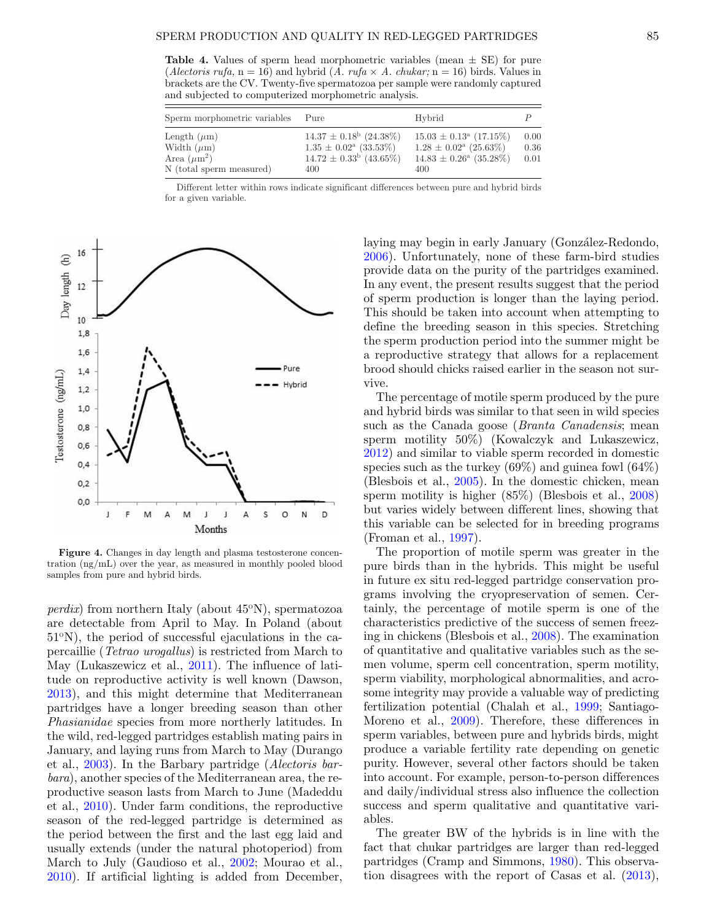<span id="page-5-0"></span>**Table 4.** Values of sperm head morphometric variables (mean  $\pm$  SE) for pure (*Alectoris rufa*,  $n = 16$ ) and hybrid (*A. rufa* × *A. chukar*;  $n = 16$ ) birds. Values in brackets are the CV. Twenty-five spermatozoa per sample were randomly captured and subjected to computerized morphometric analysis.

| Sperm morphometric variables                                                        | Pure                                                                                                             | Hybrid                                                                                                                      |                      |
|-------------------------------------------------------------------------------------|------------------------------------------------------------------------------------------------------------------|-----------------------------------------------------------------------------------------------------------------------------|----------------------|
| Length $(\mu m)$<br>Width $(\mu m)$<br>Area $(\mu m^2)$<br>N (total sperm measured) | $14.37 \pm 0.18^{\rm b}$ (24.38%)<br>$1.35 \pm 0.02^{\mathrm{a}}$ (33.53%)<br>$14.72 \pm 0.33^b$ (43.65%)<br>400 | $15.03 \pm 0.13^{\mathrm{a}}$ (17.15%)<br>$1.28 \pm 0.02^{\rm a}$ (25.63%)<br>$14.83 \pm 0.26^{\mathrm{a}}$ (35.28%)<br>400 | 0.00<br>0.36<br>0.01 |

Different letter within rows indicate significant differences between pure and hybrid birds for a given variable.

<span id="page-5-1"></span>

**Figure 4.** Changes in day length and plasma testosterone concentration (ng/mL) over the year, as measured in monthly pooled blood samples from pure and hybrid birds.

*perdix*) from northern Italy (about  $45^{\circ}$ N), spermatozoa are detectable from April to May. In Poland (about  $51^{\circ}$ N), the period of successful ejaculations in the capercaillie (Tetrao urogallus) is restricted from March to May (Lukaszewicz et al., [2011\)](#page-7-16). The influence of latitude on reproductive activity is well known (Dawson, [2013\)](#page-7-17), and this might determine that Mediterranean partridges have a longer breeding season than other Phasianidae species from more northerly latitudes. In the wild, red-legged partridges establish mating pairs in January, and laying runs from March to May (Durango et al., [2003\)](#page-7-18). In the Barbary partridge (Alectoris barbara), another species of the Mediterranean area, the reproductive season lasts from March to June (Madeddu et al., [2010\)](#page-7-19). Under farm conditions, the reproductive season of the red-legged partridge is determined as the period between the first and the last egg laid and usually extends (under the natural photoperiod) from March to July (Gaudioso et al., [2002;](#page-7-20) Mourao et al., [2010\)](#page-7-21). If artificial lighting is added from December, laying may begin in early January (González-Redondo, [2006\)](#page-7-22). Unfortunately, none of these farm-bird studies provide data on the purity of the partridges examined. In any event, the present results suggest that the period of sperm production is longer than the laying period. This should be taken into account when attempting to define the breeding season in this species. Stretching the sperm production period into the summer might be a reproductive strategy that allows for a replacement brood should chicks raised earlier in the season not survive.

The percentage of motile sperm produced by the pure and hybrid birds was similar to that seen in wild species such as the Canada goose (*Branta Canadensis*; mean sperm motility 50%) (Kowalczyk and Lukaszewicz, [2012\)](#page-7-23) and similar to viable sperm recorded in domestic species such as the turkey (69%) and guinea fowl (64%) (Blesbois et al., [2005\)](#page-6-7). In the domestic chicken, mean sperm motility is higher (85%) (Blesbois et al., [2008\)](#page-6-8) but varies widely between different lines, showing that this variable can be selected for in breeding programs (Froman et al., [1997\)](#page-7-24).

The proportion of motile sperm was greater in the pure birds than in the hybrids. This might be useful in future ex situ red-legged partridge conservation programs involving the cryopreservation of semen. Certainly, the percentage of motile sperm is one of the characteristics predictive of the success of semen freezing in chickens (Blesbois et al., [2008\)](#page-6-8). The examination of quantitative and qualitative variables such as the semen volume, sperm cell concentration, sperm motility, sperm viability, morphological abnormalities, and acrosome integrity may provide a valuable way of predicting fertilization potential (Chalah et al., [1999;](#page-6-9) Santiago-Moreno et al., [2009\)](#page-7-25). Therefore, these differences in sperm variables, between pure and hybrids birds, might produce a variable fertility rate depending on genetic purity. However, several other factors should be taken into account. For example, person-to-person differences and daily/individual stress also influence the collection success and sperm qualitative and quantitative variables.

The greater BW of the hybrids is in line with the fact that chukar partridges are larger than red-legged partridges (Cramp and Simmons, [1980\)](#page-7-26). This observation disagrees with the report of Casas et al. [\(2013\)](#page-6-3),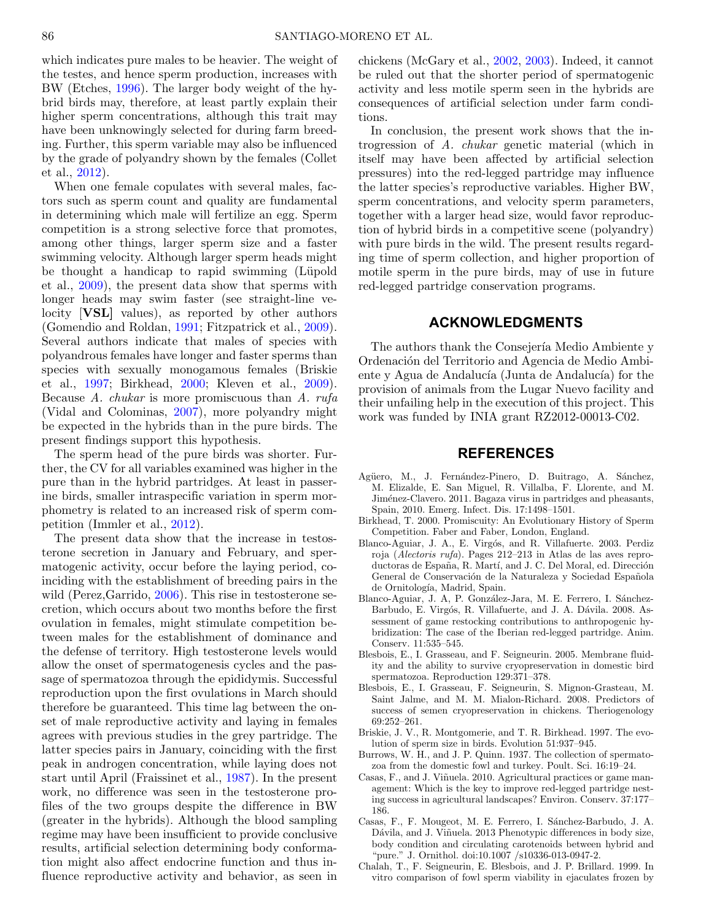which indicates pure males to be heavier. The weight of the testes, and hence sperm production, increases with BW (Etches, [1996\)](#page-7-27). The larger body weight of the hybrid birds may, therefore, at least partly explain their higher sperm concentrations, although this trait may have been unknowingly selected for during farm breeding. Further, this sperm variable may also be influenced by the grade of polyandry shown by the females (Collet et al., [2012\)](#page-7-8).

When one female copulates with several males, factors such as sperm count and quality are fundamental in determining which male will fertilize an egg. Sperm competition is a strong selective force that promotes, among other things, larger sperm size and a faster swimming velocity. Although larger sperm heads might be thought a handicap to rapid swimming (Lüpold et al., [2009\)](#page-7-28), the present data show that sperms with longer heads may swim faster (see straight-line velocity [**VSL]** values), as reported by other authors (Gomendio and Roldan, [1991;](#page-7-29) Fitzpatrick et al., [2009\)](#page-7-30). Several authors indicate that males of species with polyandrous females have longer and faster sperms than species with sexually monogamous females (Briskie et al., [1997;](#page-6-10) Birkhead, [2000;](#page-6-5) Kleven et al., [2009\)](#page-7-9). Because A. chukar is more promiscuous than A. rufa (Vidal and Colominas, [2007\)](#page-7-5), more polyandry might be expected in the hybrids than in the pure birds. The present findings support this hypothesis.

The sperm head of the pure birds was shorter. Further, the CV for all variables examined was higher in the pure than in the hybrid partridges. At least in passerine birds, smaller intraspecific variation in sperm morphometry is related to an increased risk of sperm competition (Immler et al., [2012\)](#page-7-31).

The present data show that the increase in testosterone secretion in January and February, and spermatogenic activity, occur before the laying period, coinciding with the establishment of breeding pairs in the wild (Perez, Garrido, [2006\)](#page-7-32). This rise in testosterone secretion, which occurs about two months before the first ovulation in females, might stimulate competition between males for the establishment of dominance and the defense of territory. High testosterone levels would allow the onset of spermatogenesis cycles and the passage of spermatozoa through the epididymis. Successful reproduction upon the first ovulations in March should therefore be guaranteed. This time lag between the onset of male reproductive activity and laying in females agrees with previous studies in the grey partridge. The latter species pairs in January, coinciding with the first peak in androgen concentration, while laying does not start until April (Fraissinet et al., [1987\)](#page-7-33). In the present work, no difference was seen in the testosterone profiles of the two groups despite the difference in BW (greater in the hybrids). Although the blood sampling regime may have been insufficient to provide conclusive results, artificial selection determining body conformation might also affect endocrine function and thus influence reproductive activity and behavior, as seen in chickens (McGary et al., [2002,](#page-7-34) [2003\)](#page-7-35). Indeed, it cannot be ruled out that the shorter period of spermatogenic activity and less motile sperm seen in the hybrids are consequences of artificial selection under farm conditions.

In conclusion, the present work shows that the introgression of A. chukar genetic material (which in itself may have been affected by artificial selection pressures) into the red-legged partridge may influence the latter species's reproductive variables. Higher BW, sperm concentrations, and velocity sperm parameters, together with a larger head size, would favor reproduction of hybrid birds in a competitive scene (polyandry) with pure birds in the wild. The present results regarding time of sperm collection, and higher proportion of motile sperm in the pure birds, may of use in future red-legged partridge conservation programs.

### **ACKNOWLEDGMENTS**

The authors thank the Consejería Medio Ambiente y Ordenación del Territorio and Agencia de Medio Ambiente y Agua de Andalucía (Junta de Andalucía) for the provision of animals from the Lugar Nuevo facility and their unfailing help in the execution of this project. This work was funded by INIA grant RZ2012-00013-C02.

## **REFERENCES**

- <span id="page-6-4"></span>Agüero, M., J. Fernández-Pinero, D. Buitrago, A. Sánchez, M. Elizalde, E. San Miguel, R. Villalba, F. Llorente, and M. Jiménez-Clavero. 2011. Bagaza virus in partridges and pheasants, Spain, 2010. Emerg. Infect. Dis. 17:1498–1501.
- <span id="page-6-5"></span>Birkhead, T. 2000. Promiscuity: An Evolutionary History of Sperm Competition. Faber and Faber, London, England.
- <span id="page-6-0"></span>Blanco-Aguiar, J. A., E. Virgós, and R. Villafuerte. 2003. Perdiz roja (Alectoris rufa). Pages 212–213 in Atlas de las aves reproductoras de España, R. Martí, and J. C. Del Moral, ed. Dirección General de Conservación de la Naturaleza y Sociedad Española de Ornitología, Madrid, Spain.
- <span id="page-6-2"></span>Blanco-Aguiar, J. A, P. González-Jara, M. E. Ferrero, I. Sánchez-Barbudo, E. Virgós, R. Villafuerte, and J. A. Dávila. 2008. Assessment of game restocking contributions to anthropogenic hybridization: The case of the Iberian red-legged partridge. Anim. Conserv. 11:535–545.
- <span id="page-6-7"></span>Blesbois, E., I. Grasseau, and F. Seigneurin. 2005. Membrane fluidity and the ability to survive cryopreservation in domestic bird spermatozoa. Reproduction 129:371–378.
- <span id="page-6-8"></span>Blesbois, E., I. Grasseau, F. Seigneurin, S. Mignon-Grasteau, M. Saint Jalme, and M. M. Mialon-Richard. 2008. Predictors of success of semen cryopreservation in chickens. Theriogenology 69:252–261.
- <span id="page-6-10"></span>Briskie, J. V., R. Montgomerie, and T. R. Birkhead. 1997. The evolution of sperm size in birds. Evolution 51:937–945.
- <span id="page-6-6"></span>Burrows, W. H., and J. P. Quinn. 1937. The collection of spermatozoa from the domestic fowl and turkey. Poult. Sci. 16:19–24.
- <span id="page-6-1"></span>Casas, F., and J. Viñuela. 2010. Agricultural practices or game management: Which is the key to improve red-legged partridge nesting success in agricultural landscapes? Environ. Conserv. 37:177– 186.
- <span id="page-6-3"></span>Casas, F., F. Mougeot, M. E. Ferrero, I. Sánchez-Barbudo, J. A. Dávila, and J. Viñuela. 2013 Phenotypic differences in body size, body condition and circulating carotenoids between hybrid and "pure." J. Ornithol. doi:10.1007 /s10336-013-0947-2.
- <span id="page-6-9"></span>Chalah, T., F. Seigneurin, E. Blesbois, and J. P. Brillard. 1999. In vitro comparison of fowl sperm viability in ejaculates frozen by